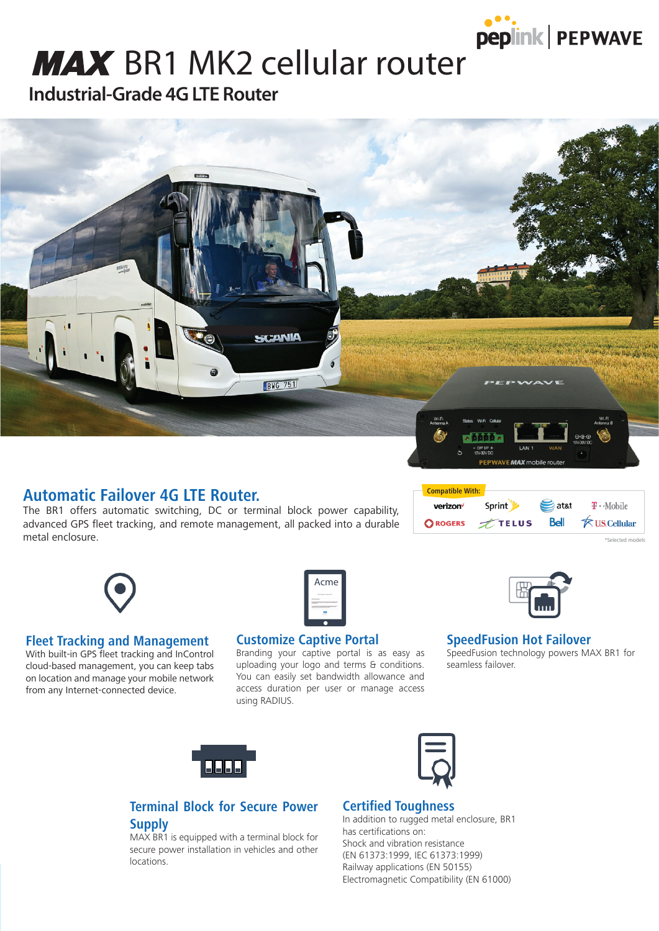

## **MAX** BR1 MK2 cellular router

**Industrial-Grade 4G LTE Router**



#### **Automatic Failover 4G LTE Router.**

The BR1 offers automatic switching, DC or terminal block power capability, advanced GPS fleet tracking, and remote management, all packed into a durable metal enclosure.

| <b>Compatible With:</b> |           |               |                        |
|-------------------------|-----------|---------------|------------------------|
| verizon                 | Sprint    | $\equiv$ atat | $T \cdot$ Mobile       |
| <b>OROGERS</b>          | $T$ TELUS | Bell          | <b>K</b> U.S. Cellular |

#### **Fleet Tracking and Management**

With built-in GPS fleet tracking and InControl cloud-based management, you can keep tabs on location and manage your mobile network from any Internet-connected device.



#### **Customize Captive Portal**

Branding your captive portal is as easy as uploading your logo and terms & conditions. You can easily set bandwidth allowance and access duration per user or manage access using RADIUS.



elected mode

#### **SpeedFusion Hot Failover**

SpeedFusion technology powers MAX BR1 for seamless failover.





#### **Terminal Block for Secure Power Supply**

MAX BR1 is equipped with a terminal block for secure power installation in vehicles and other locations.

#### **Certified Toughness**

In addition to rugged metal enclosure, BR1 has certifications on: Shock and vibration resistance (EN 61373:1999, IEC 61373:1999) Railway applications (EN 50155) Electromagnetic Compatibility (EN 61000)